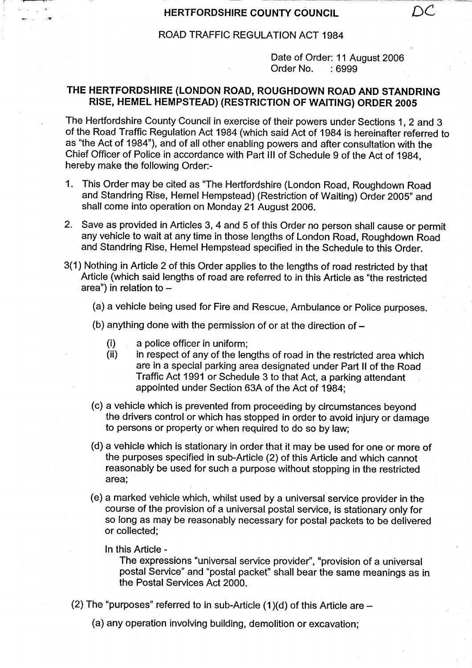## **HERTFORDSHIRE COUNTY COUNCIL**

## ROAD TRAFFIC REGULATION ACT 1984

Date of Order: 11 August 2006 Order No. : 6999

## **THE HERTFORDSHIRE** (**LONDON ROAD** , **ROUGHDOWN ROAD AND STANDRING RISE, HEMEL HEMPSTEAD** ) (RESTRICTION OF WAITING) **ORDER 2005**

The Hertfordshire County Council in exercise of their powers under Sections 1, 2 and 3 of the Road Traffic Regulation Act 1984 (which said Act of 1984 is hereinafter referred to as "the Act of 1984"), and of all other enabling powers and after consultation with the Chief Officer of Police in accordance with Part III of Schedule 9 of the Act of 1984, hereby make the following Order:-

- 1. This Order may be cited as "The Hertfordshire (London Road, Roughdown Road and Standring Rise, Hemel Hempstead) (Restriction of Waiting) Order 2005" and shall come into operation on Monday 21 August 2006.
- 2. Save as provided in Articles 3, 4 and 5 of this Order no person shall cause or permit any vehicle to wait at any time in those lengths of London Road, Roughdown Road and Standring Rise, Hemel Hempstead specified in the Schedule to this Order.
- 3(1) Nothing in Article 2 of this Order applies to the lengths of road restricted by that Article (which said lengths of road are referred to in this Article as "the restricted area") in relation to -
	- (a) a vehicle being used for Fire and Rescue, Ambulance or Police purposes.
	- (b) anything done with the permission of or at the direction of  $-$ 
		- (i) a police officer in uniform;
		- (ii) in respect of any of the lengths of road in the restricted area which **are in** a special parking area designated under Part II of the Road Traffic Act 1991 or Schedule 3 to that Act, a parking attendant appointed under Section 63A of the Act of 1984;
	- (c) a vehicle which is prevented from proceeding by circumstances beyond the drivers control or which has stopped in order to avoid injury or damage to persons or property or when required to do so by law;
	- (d) a vehicle which is stationary in order that it may be used for one or more of the purposes specified in sub-Article (2) of this Article and which cannot reasonably be used for such a purpose without stopping in the restricted area;
	- (e) a marked vehicle which, whilst used by a universal service provider in the course of the provision of a universal postal service, is stationary only for so long as may be reasonably necessary for postal packets to be delivered or collected;
		- In this Article -

The expressions "universal service provider", "provision of a universal postal Service" and "postal packet" shall bear the same meanings as in the Postal Services Act 2000.

- (2) The "purposes" referred to in sub-Article  $(1)(d)$  of this Article are  $-$ 
	- (a) any operation involving building, demolition or excavation;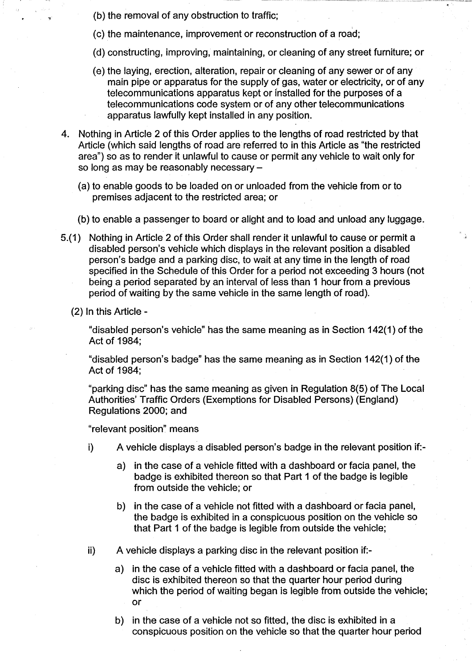- (b) the removal of any obstruction to traffic;
- (c) the maintenance, improvement or reconstruction of a road;
- (d) constructing, improving, maintaining, or cleaning of any street furniture,; or
- (e) the laying, erection, alteration, repair or cleaning of any sewer or of any main pipe or apparatus for the supply of gas, water or electricity, or of any telecommunications apparatus kept or installed for the purposes of a telecommunications code system or of any other telecommunications apparatus lawfully kept installed in any position.
- 4. Nothing in Article 2 of this Order applies to the lengths of road restricted by that Article (which said lengths of road are referred to in this Article as "the restricted area") so as to render it unlawful to cause or permit any vehicle to wait only for so long as may be reasonably necessary -
	- (a) to enable goods to be loaded on or unloaded from the vehicle from or to premises adjacent to the restricted area; or
	- (b) to enable a passenger to board or alight and to load and unload any luggage.
- 5.(1) Nothing in Article 2 of this Order shall render it unlawful to cause or permit a disabled person's vehicle which displays in the relevant position a disabled person's badge and a parking disc, to wait at any time in the length of road specified in the Schedule of this Order for a period not exceeding 3 hours (not being a period separated by an interval of less than 1 hour from a previous period of waiting by the same vehicle in the same length of road).
	- (2) In this Article-

"disabled person's vehicle" has the same meaning as in Section 142(1) of the Act of 1984;

"disabled person's badge" has the same meaning as in Section 142(1) of the Act of 1984;

"parking disc" has the same meaning as given in Regulation 8(5) of The Local Authorities' Traffic Orders (Exemptions for Disabled Persons) (England) Regulations 2000; and

"relevant position" means

- i) A vehicle displays a disabled person's badge in the relevant position if:
	- a) in the case of a vehicle fitted with a dashboard or facia panel, the badge is exhibited thereon so that Part 1 of the badge is legible from outside the vehicle; or
	- b) in the case of a vehicle not fitted with a dashboard or facia panel, the badge is exhibited in a conspicuous position on the vehicle so that Part 1 of the badge is legible from outside the vehicle;
- ii) A vehicle displays a parking disc in the relevant position if:
	- a) in the case of a vehicle fitted with a dashboard or facia panel, the disc is exhibited thereon so that the quarter hour period during which the period of waiting began is legible from outside the vehicle; or
	- b) in the case of a vehicle not so fitted, the disc is exhibited in a conspicuous position on the vehicle so that the quarter hour period